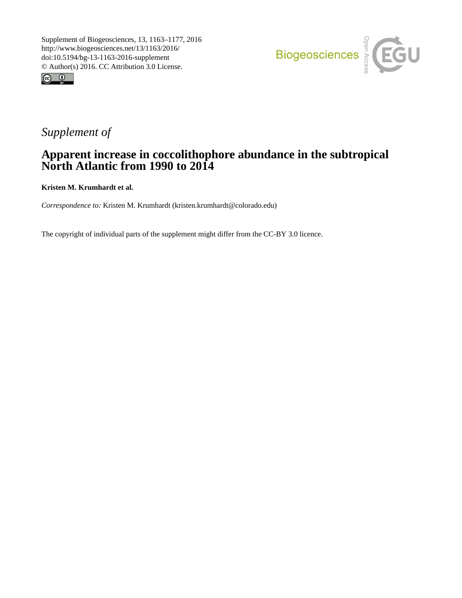



## *Supplement of*

## **Apparent increase in coccolithophore abundance in the subtropical North Atlantic from 1990 to 2014**

**Kristen M. Krumhardt et al.**

*Correspondence to:* Kristen M. Krumhardt (kristen.krumhardt@colorado.edu)

The copyright of individual parts of the supplement might differ from the CC-BY 3.0 licence.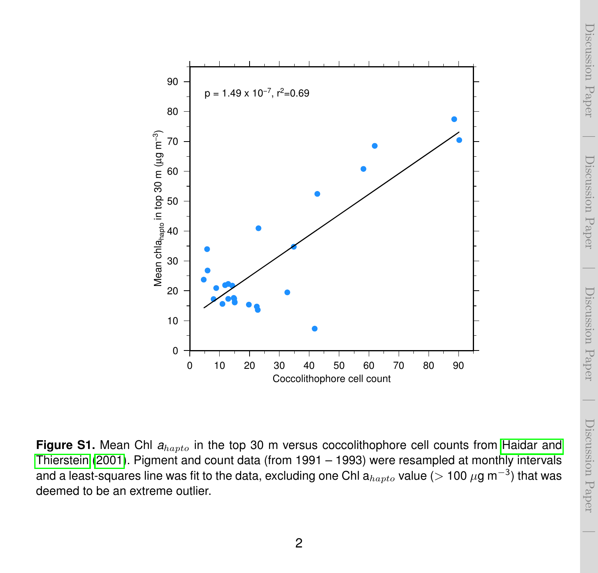

Figure S1. Mean Chl  $a_{hapto}$  in the top 30 m versus coccolithophore cell counts from [Haidar and](#page-4-0) [Thierstein](#page-4-0) [\(2001\)](#page-4-0). Pigment and count data (from 1991 – 1993) were resampled at monthly intervals and a least-squares line was fit to the data, excluding one Chl a $_{hapto}$  value ( $>$  100  $\mu$ g m $^{-3})$  that was deemed to be an extreme outlier.

Discussion Paper

Discussion Paper

 $\overline{\phantom{a}}$ 

Discussion Paper

Discussion Paper

 $\overline{\phantom{a}}$ 

Discussion Paper

Discussion Paper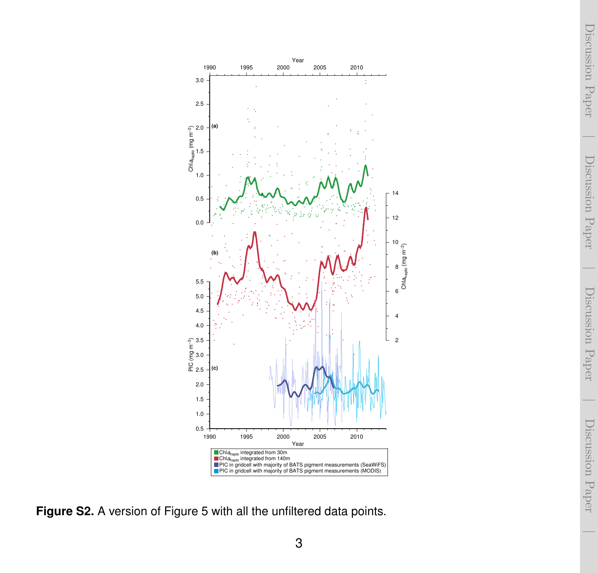Year 1990 1995 2000 2005 2010 3.0 × 2.5 **(a)** 2.0 Chla<sub>hapto</sub> (mg m<sup>−2</sup>)<br>⊳ 1.5 1.0 14 0.5 12 0.0 10 Chla<sub>hapto</sub> (mg m<sup>−2</sup>) **(b)** 8 5.5 6 5.0 4.5 4 4.0 2 PF 3.5<br>E 3.0<br>DF 2.5 3.0 **(c)** 2.5 2.0 1.5 1.0  $0.5 + 1990$ 1990 1995 2000 2005 2010 Year Chla<sub>hapto</sub> integrated from 30m<br>Chla<sub>hapto</sub> integrated from 140m PIC in gridcell with majority of BATS pigment measurements (SeaWiFS) PIC in gridcell with majority of BATS pigment measurements (MODIS)

**Figure S2.** A version of Figure 5 with all the unfiltered data points.

3

 $\overline{\phantom{a}}$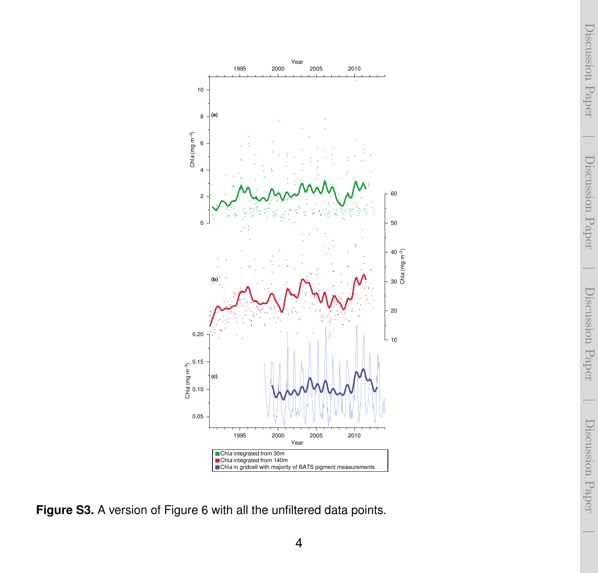Discussion Paper Discussion Paper $\overline{\phantom{a}}$ 

 $\overline{\phantom{a}}$ 



**Figure S3.** A version of Figure 6 with all the unfiltered data points.